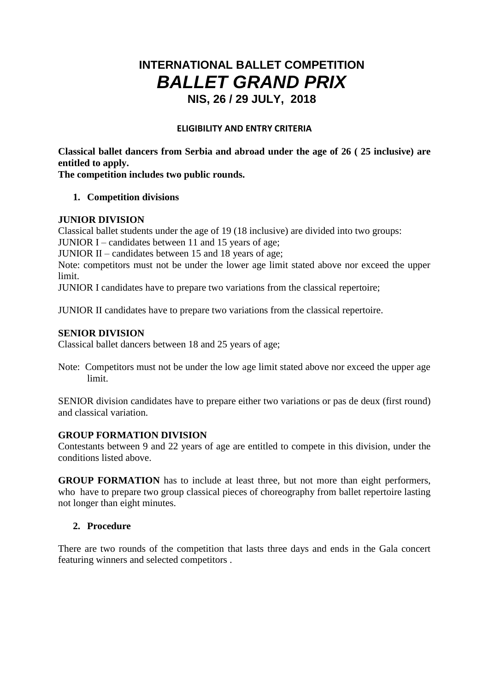# **INTERNATIONAL BALLET COMPETITION** *BALLET GRAND PRIX* **NIS, 26 / 29 JULY, 2018**

#### **ELIGIBILITY AND ENTRY CRITERIA**

**Classical ballet dancers from Serbia and abroad under the age of 26 ( 25 inclusive) are entitled to apply.**

**The competition includes two public rounds.**

## **1. Competition divisions**

#### **JUNIOR DIVISION**

Classical ballet students under the age of 19 (18 inclusive) are divided into two groups:

JUNIOR I – candidates between 11 and 15 years of age;

JUNIOR II – candidates between 15 and 18 years of age;

Note: competitors must not be under the lower age limit stated above nor exceed the upper limit.

JUNIOR I candidates have to prepare two variations from the classical repertoire;

JUNIOR II candidates have to prepare two variations from the classical repertoire.

## **SENIOR DIVISION**

Classical ballet dancers between 18 and 25 years of age;

Note: Competitors must not be under the low age limit stated above nor exceed the upper age limit.

SENIOR division candidates have to prepare either two variations or pas de deux (first round) and classical variation.

# **GROUP FORMATION DIVISION**

Contestants between 9 and 22 years of age are entitled to compete in this division, under the conditions listed above.

**GROUP FORMATION** has to include at least three, but not more than eight performers, who have to prepare two group classical pieces of choreography from ballet repertoire lasting not longer than eight minutes.

# **2. Procedure**

There are two rounds of the competition that lasts three days and ends in the Gala concert featuring winners and selected competitors .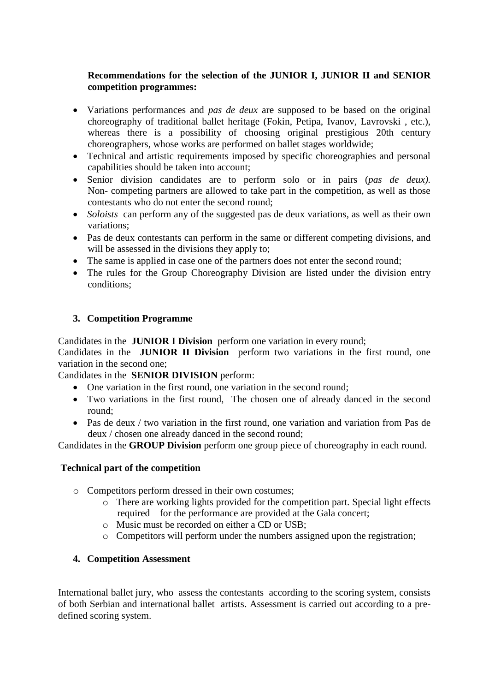# **Recommendations for the selection of the JUNIOR I, JUNIOR II and SENIOR competition programmes:**

- Variations performances and *pas de deux* are supposed to be based on the original choreography of traditional ballet heritage (Fokin, Petipa, Ivanov, Lavrovski , etc.), whereas there is a possibility of choosing original prestigious 20th century choreographers, whose works are performed on ballet stages worldwide;
- Technical and artistic requirements imposed by specific choreographies and personal capabilities should be taken into account;
- Senior division candidates are to perform solo or in pairs (*pas de deux).*  Non- competing partners are allowed to take part in the competition, as well as those contestants who do not enter the second round;
- *Soloists* can perform any of the suggested pas de deux variations, as well as their own variations;
- Pas de deux contestants can perform in the same or different competing divisions, and will be assessed in the divisions they apply to;
- The same is applied in case one of the partners does not enter the second round;
- The rules for the Group Choreography Division are listed under the division entry conditions;

# **3. Competition Programme**

Candidates in the **JUNIOR I Division** perform one variation in every round;

Candidates in the **JUNIOR II Division** perform two variations in the first round, one variation in the second one;

Candidates in the **SENIOR DIVISION** perform:

- One variation in the first round, one variation in the second round;
- Two variations in the first round, The chosen one of already danced in the second round;
- Pas de deux / two variation in the first round, one variation and variation from Pas de deux / chosen one already danced in the second round;

Candidates in the **GROUP Division** perform one group piece of choreography in each round.

# **Technical part of the competition**

- o Competitors perform dressed in their own costumes;
	- o There are working lights provided for the competition part. Special light effects required for the performance are provided at the Gala concert;
	- o Music must be recorded on either a CD or USB;
	- o Competitors will perform under the numbers assigned upon the registration;

# **4. Competition Assessment**

International ballet jury, who assess the contestants according to the scoring system, consists of both Serbian and international ballet artists. Assessment is carried out according to a predefined scoring system.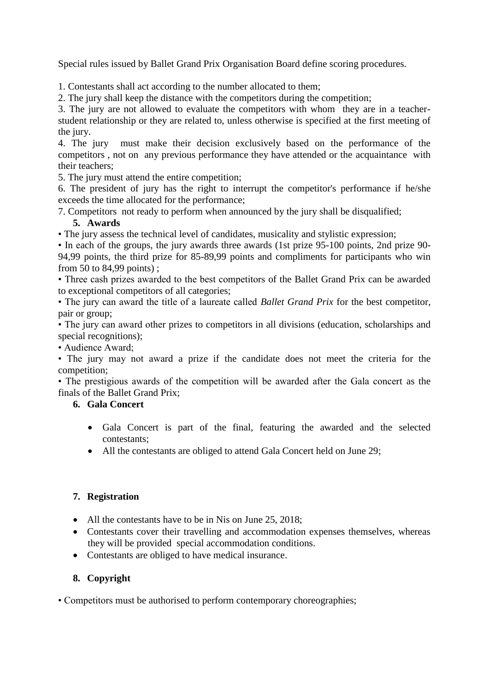Special rules issued by Ballet Grand Prix Organisation Board define scoring procedures.

1. Contestants shall act according to the number allocated to them;

2. The jury shall keep the distance with the competitors during the competition;

3. The jury are not allowed to evaluate the competitors with whom they are in a teacherstudent relationship or they are related to, unless otherwise is specified at the first meeting of the jury.

4. The jury must make their decision exclusively based on the performance of the competitors , not on any previous performance they have attended or the acquaintance with their teachers;

5. The jury must attend the entire competition;

6. The president of jury has the right to interrupt the competitor's performance if he/she exceeds the time allocated for the performance;

7. Competitors not ready to perform when announced by the jury shall be disqualified;

# **5. Awards**

• The jury assess the technical level of candidates, musicality and stylistic expression;

• In each of the groups, the jury awards three awards (1st prize 95-100 points, 2nd prize 90- 94,99 points, the third prize for 85-89,99 points and compliments for participants who win from 50 to 84,99 points) ;

• Three cash prizes awarded to the best competitors of the Ballet Grand Prix can be awarded to exceptional competitors of all categories;

• The jury can award the title of a laureate called *Ballet Grand Prix* for the best competitor, pair or group;

• The jury can award other prizes to competitors in all divisions (education, scholarships and special recognitions);

• Audience Award;

• The jury may not award a prize if the candidate does not meet the criteria for the competition;

• The prestigious awards of the competition will be awarded after the Gala concert as the finals of the Ballet Grand Prix;

# **6. Gala Concert**

- Gala Concert is part of the final, featuring the awarded and the selected contestants;
- All the contestants are obliged to attend Gala Concert held on June 29;

# **7. Registration**

- All the contestants have to be in Nis on June 25, 2018;
- Contestants cover their travelling and accommodation expenses themselves, whereas they will be provided special accommodation conditions.
- Contestants are obliged to have medical insurance.

# **8. Copyright**

• Competitors must be authorised to perform contemporary choreographies;